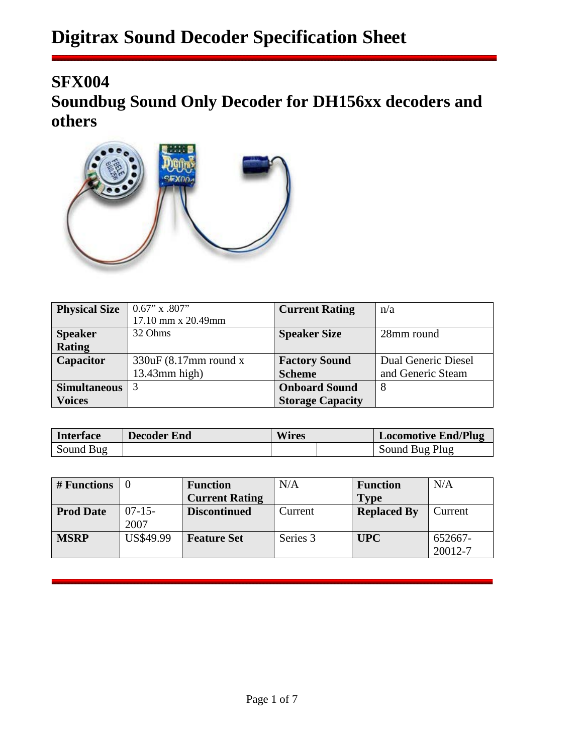## **Digitrax Sound Decoder Specification Sheet**

## **SFX004**

**Soundbug Sound Only Decoder for DH156xx decoders and [others](http://www.digitrax.com/static/apps/products/sound-decoders/sfx004/images/SFX004_jpg_600x600_q85.jpg)**



| <b>Physical Size</b> | $0.67$ " x $.807$ "     | <b>Current Rating</b>   | n/a                 |
|----------------------|-------------------------|-------------------------|---------------------|
|                      | 17.10 mm x 20.49mm      |                         |                     |
| <b>Speaker</b>       | 32 Ohms                 | <b>Speaker Size</b>     | 28mm round          |
| <b>Rating</b>        |                         |                         |                     |
| Capacitor            | $330uF (8.17mm$ round x | <b>Factory Sound</b>    | Dual Generic Diesel |
|                      | $13.43$ mm high)        | <b>Scheme</b>           | and Generic Steam   |
| <b>Simultaneous</b>  |                         | <b>Onboard Sound</b>    | 8                   |
| <b>Voices</b>        |                         | <b>Storage Capacity</b> |                     |

| <b>Interface</b> | <b>Decoder End</b> | Wires |  | <b>Locomotive End/Plug</b> |
|------------------|--------------------|-------|--|----------------------------|
| Sound Bug        |                    |       |  | Sound Bug Plug             |

| # Functions      |                  | <b>Function</b>       | N/A      | <b>Function</b>    | N/A                |
|------------------|------------------|-----------------------|----------|--------------------|--------------------|
|                  |                  | <b>Current Rating</b> |          | <b>Type</b>        |                    |
| <b>Prod Date</b> | $07-15-$<br>2007 | <b>Discontinued</b>   | Current  | <b>Replaced By</b> | Current            |
| <b>MSRP</b>      | <b>US\$49.99</b> | <b>Feature Set</b>    | Series 3 | <b>UPC</b>         | 652667-<br>20012-7 |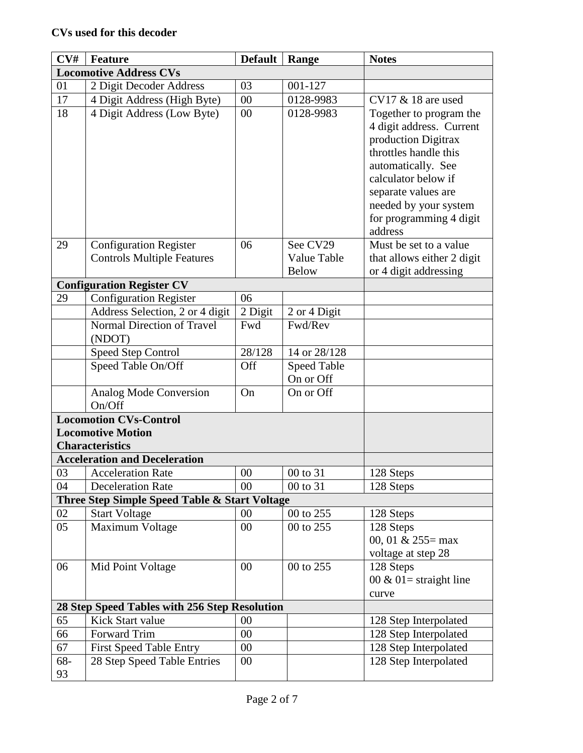| CV# | <b>Feature</b>                                | <b>Default</b> | Range              | <b>Notes</b>               |  |  |  |  |
|-----|-----------------------------------------------|----------------|--------------------|----------------------------|--|--|--|--|
|     | <b>Locomotive Address CVs</b>                 |                |                    |                            |  |  |  |  |
| 01  | 2 Digit Decoder Address                       | 03             | 001-127            |                            |  |  |  |  |
| 17  | 4 Digit Address (High Byte)                   | 00             | 0128-9983          | $CV17$ & 18 are used       |  |  |  |  |
| 18  | 4 Digit Address (Low Byte)                    | 00             | 0128-9983          | Together to program the    |  |  |  |  |
|     |                                               |                |                    | 4 digit address. Current   |  |  |  |  |
|     |                                               |                |                    | production Digitrax        |  |  |  |  |
|     |                                               |                |                    | throttles handle this      |  |  |  |  |
|     |                                               |                |                    | automatically. See         |  |  |  |  |
|     |                                               |                |                    | calculator below if        |  |  |  |  |
|     |                                               |                |                    | separate values are        |  |  |  |  |
|     |                                               |                |                    | needed by your system      |  |  |  |  |
|     |                                               |                |                    | for programming 4 digit    |  |  |  |  |
|     |                                               |                |                    | address                    |  |  |  |  |
| 29  | <b>Configuration Register</b>                 | 06             | See CV29           | Must be set to a value     |  |  |  |  |
|     | <b>Controls Multiple Features</b>             |                | Value Table        | that allows either 2 digit |  |  |  |  |
|     |                                               |                | Below              | or 4 digit addressing      |  |  |  |  |
|     | <b>Configuration Register CV</b>              |                |                    |                            |  |  |  |  |
| 29  | <b>Configuration Register</b>                 | 06             |                    |                            |  |  |  |  |
|     | Address Selection, 2 or 4 digit               | 2 Digit        | 2 or 4 Digit       |                            |  |  |  |  |
|     | Normal Direction of Travel<br>(NDOT)          | Fwd            | Fwd/Rev            |                            |  |  |  |  |
|     | <b>Speed Step Control</b>                     | 28/128         | 14 or 28/128       |                            |  |  |  |  |
|     | Speed Table On/Off                            | Off            | <b>Speed Table</b> |                            |  |  |  |  |
|     |                                               |                | On or Off          |                            |  |  |  |  |
|     | <b>Analog Mode Conversion</b><br>On/Off       | On             | On or Off          |                            |  |  |  |  |
|     | <b>Locomotion CVs-Control</b>                 |                |                    |                            |  |  |  |  |
|     | <b>Locomotive Motion</b>                      |                |                    |                            |  |  |  |  |
|     | <b>Characteristics</b>                        |                |                    |                            |  |  |  |  |
|     | <b>Acceleration and Deceleration</b>          |                |                    |                            |  |  |  |  |
| 03  | <b>Acceleration Rate</b>                      | 00             | 00 to 31           | 128 Steps                  |  |  |  |  |
| 04  | <b>Deceleration Rate</b>                      | 00             | 00 to 31           | 128 Steps                  |  |  |  |  |
|     | Three Step Simple Speed Table & Start Voltage |                |                    |                            |  |  |  |  |
| 02  | <b>Start Voltage</b>                          | 00             | 00 to 255          | 128 Steps                  |  |  |  |  |
| 05  | Maximum Voltage                               | 00             | 00 to 255          | 128 Steps                  |  |  |  |  |
|     |                                               |                |                    | 00, 01 & 255= max          |  |  |  |  |
|     |                                               |                |                    | voltage at step 28         |  |  |  |  |
| 06  | Mid Point Voltage                             | 00             | 00 to 255          | 128 Steps                  |  |  |  |  |
|     |                                               |                |                    | 00 & 01 = straight line    |  |  |  |  |
|     |                                               |                |                    | curve                      |  |  |  |  |
|     | 28 Step Speed Tables with 256 Step Resolution |                |                    |                            |  |  |  |  |
| 65  | Kick Start value                              | 00             |                    | 128 Step Interpolated      |  |  |  |  |
| 66  | Forward Trim                                  | 00             |                    | 128 Step Interpolated      |  |  |  |  |
| 67  | <b>First Speed Table Entry</b>                | 00             |                    | 128 Step Interpolated      |  |  |  |  |
| 68- | 28 Step Speed Table Entries                   | 00             |                    | 128 Step Interpolated      |  |  |  |  |
| 93  |                                               |                |                    |                            |  |  |  |  |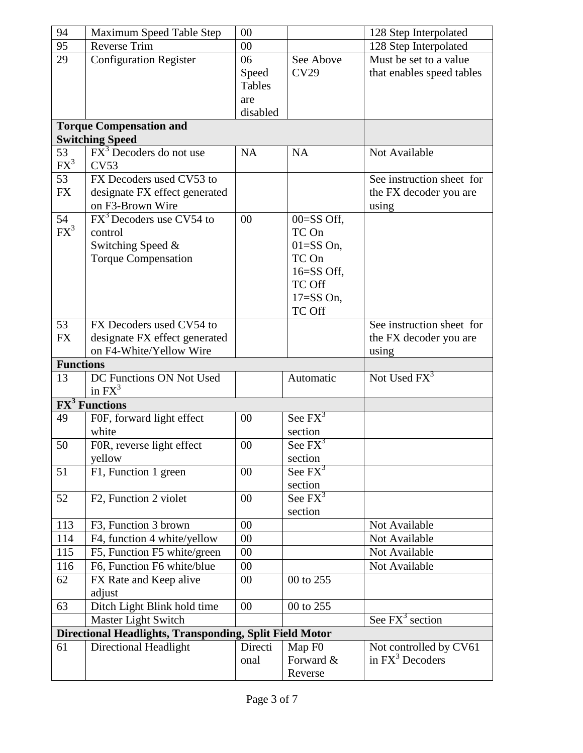| 94               | Maximum Speed Table Step                                | 00        |                                  | 128 Step Interpolated       |
|------------------|---------------------------------------------------------|-----------|----------------------------------|-----------------------------|
| 95               | <b>Reverse Trim</b>                                     | 00        |                                  | 128 Step Interpolated       |
| 29               | <b>Configuration Register</b>                           | 06        | See Above                        | Must be set to a value      |
|                  |                                                         | Speed     | <b>CV29</b>                      | that enables speed tables   |
|                  |                                                         | Tables    |                                  |                             |
|                  |                                                         | are       |                                  |                             |
|                  |                                                         | disabled  |                                  |                             |
|                  | <b>Torque Compensation and</b>                          |           |                                  |                             |
|                  | <b>Switching Speed</b>                                  |           |                                  |                             |
| 53<br>$FX^3$     | $FX3$ Decoders do not use<br>CV53                       | <b>NA</b> | <b>NA</b>                        | Not Available               |
| 53               | FX Decoders used CV53 to                                |           |                                  | See instruction sheet for   |
| <b>FX</b>        | designate FX effect generated                           |           |                                  | the FX decoder you are      |
|                  | on F3-Brown Wire                                        |           |                                  | using                       |
| 54               | $\overline{\text{FX}^3}$ Decoders use CV54 to           | 00        | $00 = SS$ Off,                   |                             |
| $FX^3$           | control                                                 |           | TC On                            |                             |
|                  | Switching Speed &                                       |           | $01 = SS$ On,                    |                             |
|                  | <b>Torque Compensation</b>                              |           | TC On                            |                             |
|                  |                                                         |           | 16=SS Off,                       |                             |
|                  |                                                         |           | <b>TC Off</b>                    |                             |
|                  |                                                         |           | $17 = SS$ On,                    |                             |
|                  |                                                         |           | <b>TC Off</b>                    |                             |
| 53               | FX Decoders used CV54 to                                |           |                                  | See instruction sheet for   |
| <b>FX</b>        | designate FX effect generated                           |           |                                  | the FX decoder you are      |
|                  | on F4-White/Yellow Wire                                 |           |                                  | using                       |
|                  |                                                         |           |                                  |                             |
| <b>Functions</b> |                                                         |           |                                  |                             |
| 13               | DC Functions ON Not Used                                |           | Automatic                        | Not Used $FX^3$             |
|                  | in $FX^3$                                               |           |                                  |                             |
|                  | $\overline{\text{FX}^3}$ Functions                      |           |                                  |                             |
| 49               | F0F, forward light effect                               | 00        | See $FX^3$                       |                             |
|                  | white                                                   |           | section                          |                             |
| 50               | FOR, reverse light effect                               | 00        | See $FX^3$                       |                             |
|                  | yellow                                                  |           | section                          |                             |
| 51               | F1, Function 1 green                                    | 00        | See $FX^3$                       |                             |
|                  |                                                         |           | section                          |                             |
| 52               | F2, Function 2 violet                                   | 00        | See $\overline{FX}^3$<br>section |                             |
| 113              | F3, Function 3 brown                                    | 00        |                                  | Not Available               |
| 114              | F4, function 4 white/yellow                             | 00        |                                  | Not Available               |
| 115              | F5, Function F5 white/green                             | 00        |                                  | Not Available               |
| 116              | F6, Function F6 white/blue                              | 00        |                                  | Not Available               |
| 62               | FX Rate and Keep alive                                  | 00        | 00 to 255                        |                             |
|                  | adjust                                                  |           |                                  |                             |
| 63               | Ditch Light Blink hold time                             | 00        | 00 to 255                        |                             |
|                  | Master Light Switch                                     |           |                                  | See $FX^3$ section          |
|                  | Directional Headlights, Transponding, Split Field Motor |           |                                  |                             |
| 61               | Directional Headlight                                   | Directi   | Map F <sub>0</sub>               | Not controlled by CV61      |
|                  |                                                         | onal      | Forward &<br>Reverse             | in FX <sup>3</sup> Decoders |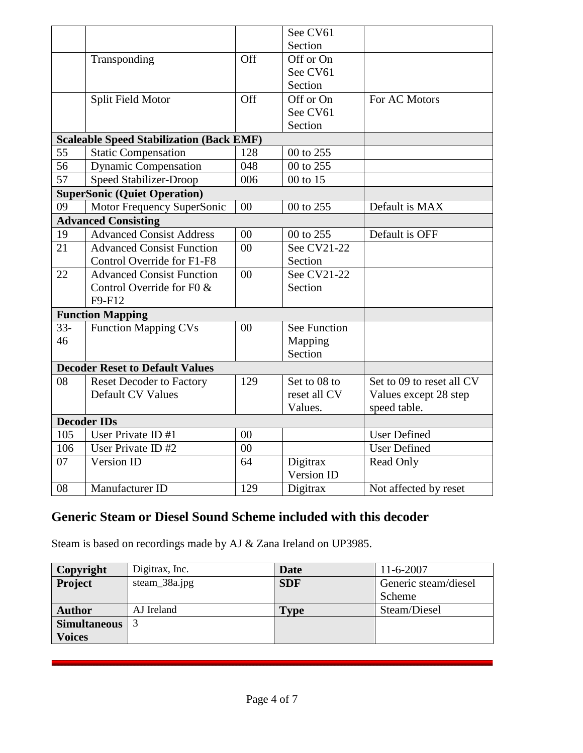|        |                                                 |        | See CV61     |                           |
|--------|-------------------------------------------------|--------|--------------|---------------------------|
|        |                                                 |        | Section      |                           |
|        | Transponding                                    | Off    | Off or On    |                           |
|        |                                                 |        | See CV61     |                           |
|        |                                                 |        | Section      |                           |
|        | Split Field Motor                               | Off    | Off or On    | For AC Motors             |
|        |                                                 |        | See CV61     |                           |
|        |                                                 |        | Section      |                           |
|        |                                                 |        |              |                           |
|        | <b>Scaleable Speed Stabilization (Back EMF)</b> |        |              |                           |
| 55     | <b>Static Compensation</b>                      | 128    | 00 to 255    |                           |
| 56     | <b>Dynamic Compensation</b>                     | 048    | 00 to 255    |                           |
| 57     | Speed Stabilizer-Droop                          | 006    | 00 to 15     |                           |
|        | <b>SuperSonic (Quiet Operation)</b>             |        |              |                           |
| 09     | Motor Frequency SuperSonic                      | 00     | 00 to 255    | Default is MAX            |
|        | <b>Advanced Consisting</b>                      |        |              |                           |
| 19     | <b>Advanced Consist Address</b>                 | 00     | 00 to 255    | Default is OFF            |
| 21     | <b>Advanced Consist Function</b>                | 00     | See CV21-22  |                           |
|        | Control Override for F1-F8                      |        | Section      |                           |
| 22     | <b>Advanced Consist Function</b>                | $00\,$ | See CV21-22  |                           |
|        | Control Override for F0 &                       |        | Section      |                           |
|        | F9-F12                                          |        |              |                           |
|        | <b>Function Mapping</b>                         |        |              |                           |
| $33 -$ | <b>Function Mapping CVs</b>                     | 00     | See Function |                           |
| 46     |                                                 |        | Mapping      |                           |
|        |                                                 |        | Section      |                           |
|        | <b>Decoder Reset to Default Values</b>          |        |              |                           |
| 08     | <b>Reset Decoder to Factory</b>                 | 129    | Set to 08 to | Set to 09 to reset all CV |
|        | <b>Default CV Values</b>                        |        | reset all CV | Values except 28 step     |
|        |                                                 |        | Values.      | speed table.              |
|        | <b>Decoder IDs</b>                              |        |              |                           |
| 105    | User Private ID #1                              | $00\,$ |              | <b>User Defined</b>       |
| 106    | User Private ID #2                              | 00     |              | <b>User Defined</b>       |
| 07     | Version ID                                      | 64     | Digitrax     | Read Only                 |
|        |                                                 |        | Version ID   |                           |
| 08     | Manufacturer ID                                 | 129    | Digitrax     | Not affected by reset     |
|        |                                                 |        |              |                           |

## **Generic Steam or Diesel Sound Scheme included with this decoder**

Steam is based on recordings made by AJ & Zana Ireland on UP3985.

| Copyright           | Digitrax, Inc. | <b>Date</b> | $11-6-2007$          |
|---------------------|----------------|-------------|----------------------|
| Project             | steam_38a.jpg  | <b>SDF</b>  | Generic steam/diesel |
|                     |                |             | Scheme               |
| <b>Author</b>       | AJ Ireland     | <b>Type</b> | Steam/Diesel         |
| <b>Simultaneous</b> |                |             |                      |
| <b>Voices</b>       |                |             |                      |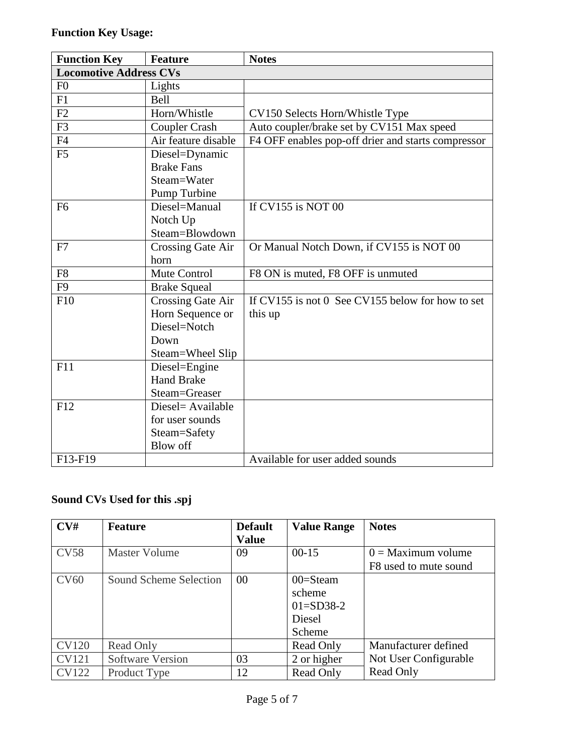| <b>Function Key</b>           | <b>Feature</b>           | <b>Notes</b>                                       |
|-------------------------------|--------------------------|----------------------------------------------------|
| <b>Locomotive Address CVs</b> |                          |                                                    |
| F <sub>0</sub>                | Lights                   |                                                    |
| F1                            | <b>Bell</b>              |                                                    |
| F2                            | Horn/Whistle             | CV150 Selects Horn/Whistle Type                    |
| F <sub>3</sub>                | <b>Coupler Crash</b>     | Auto coupler/brake set by CV151 Max speed          |
| F <sub>4</sub>                | Air feature disable      | F4 OFF enables pop-off drier and starts compressor |
| F <sub>5</sub>                | Diesel=Dynamic           |                                                    |
|                               | <b>Brake Fans</b>        |                                                    |
|                               | Steam=Water              |                                                    |
|                               | Pump Turbine             |                                                    |
| F <sub>6</sub>                | Diesel=Manual            | If CV155 is NOT 00                                 |
|                               | Notch Up                 |                                                    |
|                               | Steam=Blowdown           |                                                    |
| F7                            | Crossing Gate Air        | Or Manual Notch Down, if CV155 is NOT 00           |
|                               | horn                     |                                                    |
| F <sub>8</sub>                | Mute Control             | F8 ON is muted, F8 OFF is unmuted                  |
| F <sub>9</sub>                | <b>Brake Squeal</b>      |                                                    |
| F10                           | <b>Crossing Gate Air</b> | If CV155 is not 0 See CV155 below for how to set   |
|                               | Horn Sequence or         | this up                                            |
|                               | Diesel=Notch             |                                                    |
|                               | Down                     |                                                    |
|                               | Steam=Wheel Slip         |                                                    |
| F11                           | Diesel=Engine            |                                                    |
|                               | <b>Hand Brake</b>        |                                                    |
|                               | Steam=Greaser            |                                                    |
| F12                           | Diesel = Available       |                                                    |
|                               | for user sounds          |                                                    |
|                               | Steam=Safety             |                                                    |
|                               | Blow off                 |                                                    |
| F13-F19                       |                          | Available for user added sounds                    |

## **Sound CVs Used for this .spj**

| CV#          | <b>Feature</b>          | <b>Default</b> | <b>Value Range</b> | <b>Notes</b>          |
|--------------|-------------------------|----------------|--------------------|-----------------------|
|              |                         | <b>Value</b>   |                    |                       |
| <b>CV58</b>  | <b>Master Volume</b>    | 09             | $00-15$            | $0 =$ Maximum volume  |
|              |                         |                |                    | F8 used to mute sound |
| <b>CV60</b>  | Sound Scheme Selection  | $00\,$         | $00 =$ Steam       |                       |
|              |                         |                | scheme             |                       |
|              |                         |                | $01 = SD38-2$      |                       |
|              |                         |                | Diesel             |                       |
|              |                         |                | Scheme             |                       |
| <b>CV120</b> | Read Only               |                | Read Only          | Manufacturer defined  |
| <b>CV121</b> | <b>Software Version</b> | 03             | 2 or higher        | Not User Configurable |
| <b>CV122</b> | Product Type            | 12             | Read Only          | Read Only             |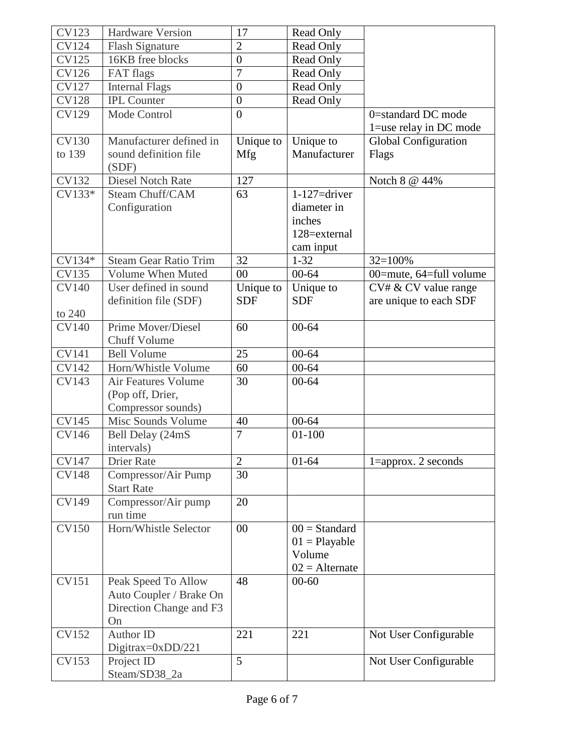| <b>CV123</b> | Hardware Version             | 17               | Read Only        |                         |
|--------------|------------------------------|------------------|------------------|-------------------------|
| <b>CV124</b> | Flash Signature              | $\overline{2}$   | Read Only        |                         |
| <b>CV125</b> | 16KB free blocks             | $\overline{0}$   | Read Only        |                         |
| <b>CV126</b> | FAT flags                    | $\overline{7}$   | Read Only        |                         |
| <b>CV127</b> | <b>Internal Flags</b>        | $\overline{0}$   | Read Only        |                         |
| <b>CV128</b> | <b>IPL Counter</b>           | $\boldsymbol{0}$ | Read Only        |                         |
| <b>CV129</b> | Mode Control                 | $\overline{0}$   |                  | 0=standard DC mode      |
|              |                              |                  |                  | 1=use relay in DC mode  |
| <b>CV130</b> | Manufacturer defined in      | Unique to        | Unique to        | Global Configuration    |
| to 139       | sound definition file        | <b>Mfg</b>       | Manufacturer     | Flags                   |
|              | (SDF)                        |                  |                  |                         |
| <b>CV132</b> | <b>Diesel Notch Rate</b>     | 127              |                  | Notch 8 @ 44%           |
| $CV133*$     | Steam Chuff/CAM              | 63               | $1-127=$ driver  |                         |
|              | Configuration                |                  | diameter in      |                         |
|              |                              |                  | inches           |                         |
|              |                              |                  | 128=external     |                         |
|              |                              |                  | cam input        |                         |
| CV134*       | <b>Steam Gear Ratio Trim</b> | 32               | $1 - 32$         | $32=100%$               |
| <b>CV135</b> | Volume When Muted            | 00               | $00 - 64$        | 00=mute, 64=full volume |
| <b>CV140</b> | User defined in sound        | Unique to        | Unique to        | CV# & CV value range    |
|              | definition file (SDF)        | <b>SDF</b>       | <b>SDF</b>       | are unique to each SDF  |
| to 240       |                              |                  |                  |                         |
| <b>CV140</b> | Prime Mover/Diesel           | 60               | $00 - 64$        |                         |
|              | <b>Chuff Volume</b>          |                  |                  |                         |
| <b>CV141</b> | <b>Bell Volume</b>           | 25               | $00 - 64$        |                         |
| <b>CV142</b> | Horn/Whistle Volume          | 60               | $00 - 64$        |                         |
| <b>CV143</b> | Air Features Volume          | 30               | $00 - 64$        |                         |
|              | (Pop off, Drier,             |                  |                  |                         |
|              | Compressor sounds)           |                  |                  |                         |
| <b>CV145</b> | Misc Sounds Volume           | 40               | $00 - 64$        |                         |
| <b>CV146</b> | Bell Delay (24mS             | $\overline{7}$   | $01 - 100$       |                         |
|              | intervals)                   |                  |                  |                         |
| <b>CV147</b> | <b>Drier Rate</b>            | $\overline{2}$   | $01 - 64$        | $1 =$ approx. 2 seconds |
| <b>CV148</b> | Compressor/Air Pump          | $\overline{3}0$  |                  |                         |
|              | <b>Start Rate</b>            |                  |                  |                         |
| <b>CV149</b> | Compressor/Air pump          | 20               |                  |                         |
|              | run time                     |                  |                  |                         |
| <b>CV150</b> | Horn/Whistle Selector        | 00               | $00 = Standard$  |                         |
|              |                              |                  | $01$ = Playable  |                         |
|              |                              |                  | Volume           |                         |
|              |                              |                  | $02 =$ Alternate |                         |
| <b>CV151</b> | Peak Speed To Allow          | 48               | $00 - 60$        |                         |
|              | Auto Coupler / Brake On      |                  |                  |                         |
|              | Direction Change and F3      |                  |                  |                         |
|              | On                           |                  |                  |                         |
| <b>CV152</b> | <b>Author ID</b>             | 221              | 221              | Not User Configurable   |
|              | Digitrax= $0xDD/221$         | 5                |                  |                         |
| <b>CV153</b> | Project ID                   |                  |                  | Not User Configurable   |
|              | Steam/SD38_2a                |                  |                  |                         |